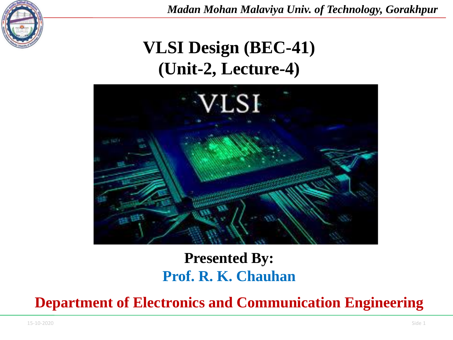

## **VLSI Design (BEC-41) (Unit-2, Lecture-4)**



#### **Presented By: Prof. R. K. Chauhan**

**Department of Electronics and Communication Engineering**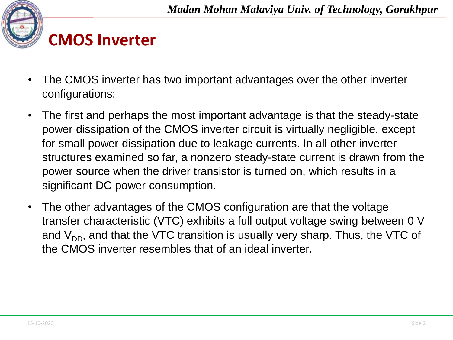

### **CMOS Inverter**

- The CMOS inverter has two important advantages over the other inverter configurations:
- The first and perhaps the most important advantage is that the steady-state power dissipation of the CMOS inverter circuit is virtually negligible, except for small power dissipation due to leakage currents. In all other inverter structures examined so far, a nonzero steady-state current is drawn from the power source when the driver transistor is turned on, which results in a significant DC power consumption.
- The other advantages of the CMOS configuration are that the voltage transfer characteristic (VTC) exhibits a full output voltage swing between 0 V and  $V_{DD}$ , and that the VTC transition is usually very sharp. Thus, the VTC of the CMOS inverter resembles that of an ideal inverter.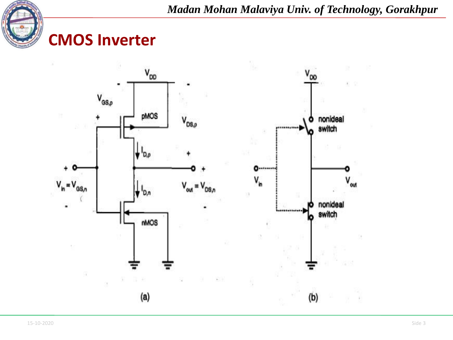

#### **CMOS Inverter**

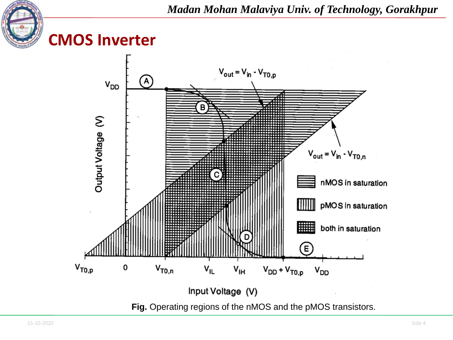





**Fig.** Operating regions of the nMOS and the pMOS transistors.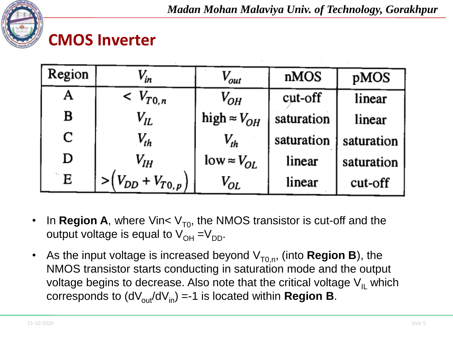

#### **CMOS Inverter**

| Region | $V_{in}$                   | V <sub>out</sub>        | nMOS       | pMOS       |
|--------|----------------------------|-------------------------|------------|------------|
|        | $\langle V_{T0,n} \rangle$ | $V_{OH}$                | cut-off    | linear     |
| B      | $V_{lL}$                   | high $\approx$ $V_{OH}$ | saturation | linear     |
| C      | $V_{th}$                   | $V_{th}$                | saturation | saturation |
| D      | $V_{lH}$                   | $low \approx V_{OL}$    | linear     | saturation |
| E      | $> (V_{DD} + V_{T0,p})$    | $V_{OL}$                | linear     | cut-off    |

- In **Region A**, where Vin<  $V_{T0}$ , the NMOS transistor is cut-off and the output voltage is equal to  $V_{OH} = V_{DD}$ .
- As the input voltage is increased beyond  $V_{T0,n}$ , (into **Region B**), the NMOS transistor starts conducting in saturation mode and the output voltage begins to decrease. Also note that the critical voltage  $V_{II}$  which corresponds to  $(dV_{out}/dV_{in}) = -1$  is located within **Region B**.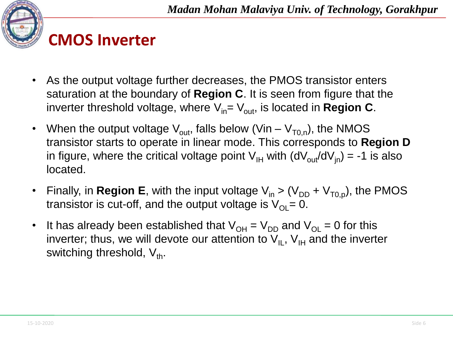



- As the output voltage further decreases, the PMOS transistor enters saturation at the boundary of **Region C**. It is seen from figure that the inverter threshold voltage, where  $V_{in}= V_{out}$ , is located in **Region C**.
- When the output voltage  $V_{\text{out}}$ , falls below (Vin  $V_{\text{To},n}$ ), the NMOS transistor starts to operate in linear mode. This corresponds to **Region D** in figure, where the critical voltage point  $V_{IH}$  with  $(dV_{out}/dV_{in}) = -1$  is also located.
- Finally, in **Region E**, with the input voltage  $V_{in}$  > ( $V_{DD}$  +  $V_{To, p}$ ), the PMOS transistor is cut-off, and the output voltage is  $V_{\text{O}}= 0$ .
- It has already been established that  $V_{OH} = V_{DD}$  and  $V_{OH} = 0$  for this inverter; thus, we will devote our attention to  $V_{II}$ ,  $V_{II}$  and the inverter switching threshold,  $V_{th}$ .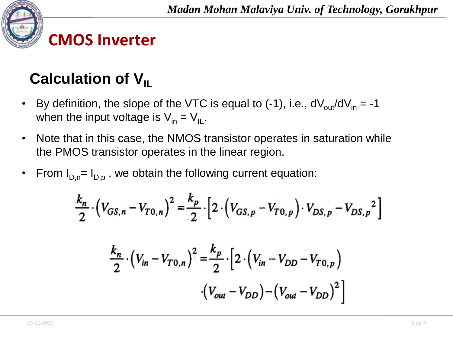

## **Calculation of V<sub>IL</sub>**

- By definition, the slope of the VTC is equal to  $(-1)$ , i.e.,  $dV_{out}/dV_{in} = -1$ when the input voltage is  $V_{in} = V_{II}$ .
- Note that in this case, the NMOS transistor operates in saturation while the PMOS transistor operates in the linear region.
- From  $I_{D,n}= I_{D,p}$ , we obtain the following current equation:

$$
\frac{k_n}{2} \cdot \left(V_{GS,n} - V_{T0,n}\right)^2 = \frac{k_p}{2} \cdot \left[2 \cdot \left(V_{GS,p} - V_{T0,p}\right) \cdot V_{DS,p} - V_{DS,p}^2\right]
$$

$$
\frac{k_n}{2} \cdot \left(V_{in} - V_{T0,n}\right)^2 = \frac{k_p}{2} \cdot \left[2 \cdot \left(V_{in} - V_{DD} - V_{T0,p}\right)\right]
$$

$$
\cdot \left(V_{out} - V_{DD}\right) - \left(V_{out} - V_{DD}\right)^2\right]
$$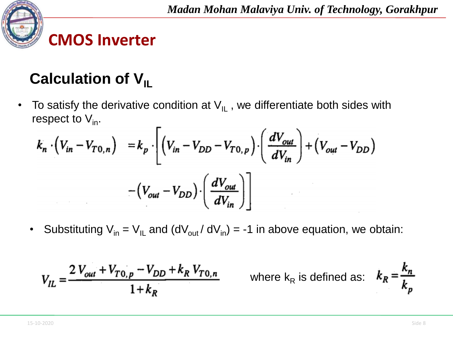

# **Calculation of V<sub>IL</sub>**

• To satisfy the derivative condition at  $V_{IL}$ , we differentiate both sides with respect to  $V_{in}$ .

$$
k_n \cdot \left(V_{in} - V_{T0,n}\right) = k_p \cdot \left[ \left(V_{in} - V_{DD} - V_{T0,p}\right) \cdot \left(\frac{dV_{out}}{dV_{in}}\right) + \left(V_{out} - V_{DD}\right) \right]
$$

$$
-\left(V_{out} - V_{DD}\right) \cdot \left(\frac{dV_{out}}{dV_{in}}\right)
$$

Substituting  $V_{in} = V_{IL}$  and  $(dV_{out}/ dV_{in}) = -1$  in above equation, we obtain:

$$
V_{IL} = \frac{2 V_{out} + V_{T0,p} - V_{DD} + k_R V_{T0,n}}{1 + k_R}
$$

where 
$$
k_R
$$
 is defined as:  $k_R = \frac{k_n}{k_p}$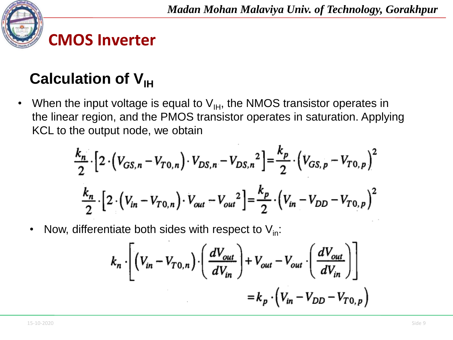

## **Calculation of V<sub>IH</sub>**

• When the input voltage is equal to  $V_{H}$ , the NMOS transistor operates in the linear region, and the PMOS transistor operates in saturation. Applying KCL to the output node, we obtain

$$
\frac{k_n}{2} \cdot \left[ 2 \cdot \left( V_{GS,n} - V_{T0,n} \right) \cdot V_{DS,n} - V_{DS,n}^2 \right] = \frac{k_p}{2} \cdot \left( V_{GS,p} - V_{T0,p} \right)^2
$$
\n
$$
\frac{k_n}{2} \cdot \left[ 2 \cdot \left( V_{in} - V_{T0,n} \right) \cdot V_{out} - V_{out}^2 \right] = \frac{k_p}{2} \cdot \left( V_{in} - V_{DD} - V_{T0,p} \right)^2
$$

Now, differentiate both sides with respect to  $V_{in}$ :

$$
k_n \cdot \left[ \left( V_{in} - V_{T0,n} \right) \cdot \left( \frac{dV_{out}}{dV_{in}} \right) + V_{out} - V_{out} \cdot \left( \frac{dV_{out}}{dV_{in}} \right) \right]
$$
  
=  $k_p \cdot \left( V_{in} - V_{DD} - V_{T0,p} \right)$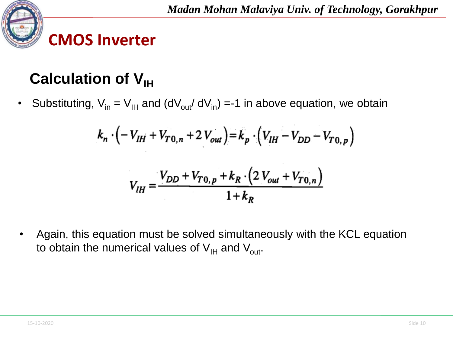

# **Calculation of V<sub>IH</sub>**

• Substituting,  $V_{in} = V_{IH}$  and (dV<sub>out</sub>/ dV<sub>in</sub>) =-1 in above equation, we obtain

$$
k_n \cdot \left( -V_{IH} + V_{T0,n} + 2 V_{out} \right) = k_p \cdot \left( V_{IH} - V_{DD} - V_{T0,p} \right)
$$

$$
V_{IH} = \frac{V_{DD} + V_{T0,p} + k_R \cdot \left(2 V_{out} + V_{T0,n}\right)}{1 + k_R}
$$

• Again, this equation must be solved simultaneously with the KCL equation to obtain the numerical values of  $V_{\text{IH}}$  and  $V_{\text{out}}$ .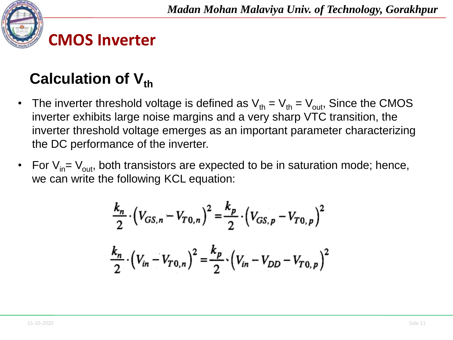

## **Calculation of V**<sup>th</sup>

- The inverter threshold voltage is defined as  $V_{th} = V_{th} = V_{out}$ , Since the CMOS inverter exhibits large noise margins and a very sharp VTC transition, the inverter threshold voltage emerges as an important parameter characterizing the DC performance of the inverter.
- For  $V_{in}=V_{out}$ , both transistors are expected to be in saturation mode; hence, we can write the following KCL equation:

$$
\frac{k_n}{2} \cdot \left(V_{GS,n} - V_{T0,n}\right)^2 = \frac{k_p}{2} \cdot \left(V_{GS,p} - V_{T0,p}\right)^2
$$

$$
\frac{k_n}{2} \cdot \left(V_{in} - V_{T0,n}\right)^2 = \frac{k_p}{2} \cdot \left(V_{in} - V_{DD} - V_{T0,p}\right)^2
$$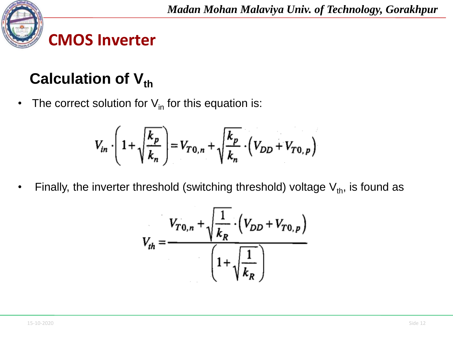

## **Calculation of V<sub>th</sub>**

• The correct solution for  $V_{in}$  for this equation is:

$$
V_{in} \cdot \left(1 + \sqrt{\frac{k_p}{k_n}}\right) = V_{T0,n} + \sqrt{\frac{k_p}{k_n}} \cdot \left(V_{DD} + V_{T0,p}\right)
$$

Finally, the inverter threshold (switching threshold) voltage  $V_{th}$ , is found as

$$
V_{th} = \frac{V_{T0,n} + \sqrt{\frac{1}{k_R}} \cdot (V_{DD} + V_{T0,p})}{\left(1 + \sqrt{\frac{1}{k_R}}\right)}
$$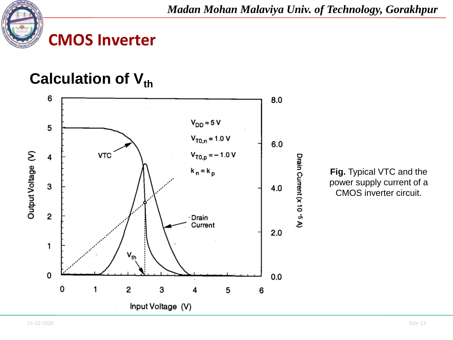

### **CMOS Inverter**

#### **Calculation of V<sub>th</sub>**



**Fig.** Typical VTC and the power supply current of a CMOS inverter circuit.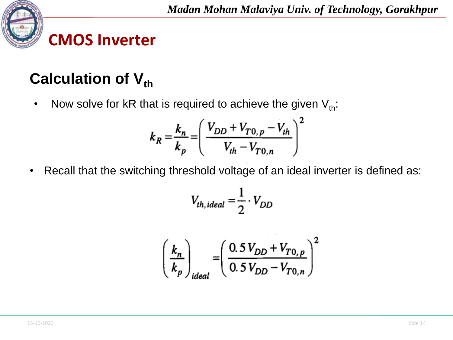

## **Calculation of V<sub>th</sub>**

• Now solve for kR that is required to achieve the given  $V_{th}$ :

$$
k_R = \frac{k_n}{k_p} = \left(\frac{V_{DD} + V_{T0, p} - V_{th}}{V_{th} - V_{T0, n}}\right)^2
$$

Recall that the switching threshold voltage of an ideal inverter is defined as:

$$
V_{th, ideal} = \frac{1}{2} \cdot V_{DD}
$$

$$
\left(\frac{k_n}{k_p}\right)_{ideal} = \left(\frac{0.5 V_{DD} + V_{T0,p}}{0.5 V_{DD} - V_{T0,n}}\right)^2
$$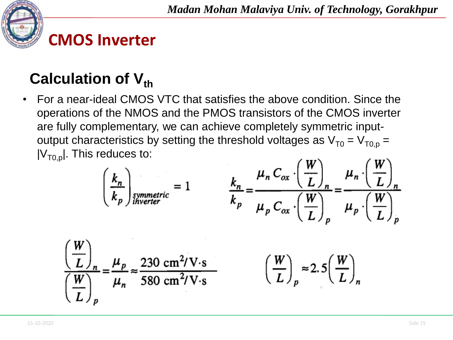

# **Calculation of V<sub>th</sub>**

• For a near-ideal CMOS VTC that satisfies the above condition. Since the operations of the NMOS and the PMOS transistors of the CMOS inverter are fully complementary, we can achieve completely symmetric inputoutput characteristics by setting the threshold voltages as  $V_{T0} = V_{T0, p} =$  $|V_{\tau_0,p}|$ . This reduces to:

$$
\left(\frac{k_n}{k_p}\right)_{\text{symmetric}} = 1 \qquad \frac{k_n}{k_p} = \frac{\mu_n C_{ox} \cdot \left(\frac{W}{L}\right)_n}{\mu_p C_{ox} \cdot \left(\frac{W}{L}\right)_p} = \frac{\mu_n \cdot \left(\frac{W}{L}\right)_n}{\mu_p \cdot \left(\frac{W}{L}\right)_p}
$$
\n
$$
\frac{W}{L}\Big|_{n} = \frac{\mu_p}{\mu_n} \approx \frac{230 \text{ cm}^2/\text{V} \cdot \text{s}}{580 \text{ cm}^2/\text{V} \cdot \text{s}} \qquad \left(\frac{W}{L}\right)_p \approx 2.5 \left(\frac{W}{L}\right)_n
$$